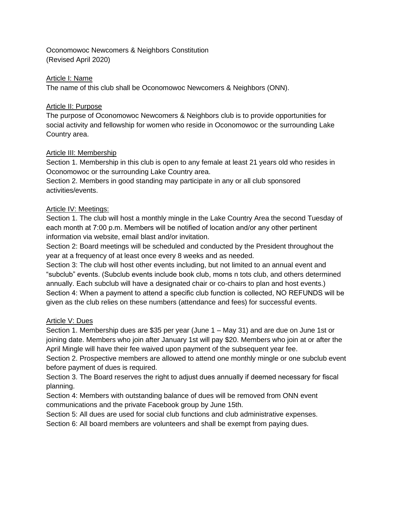Oconomowoc Newcomers & Neighbors Constitution (Revised April 2020)

### Article I: Name

The name of this club shall be Oconomowoc Newcomers & Neighbors (ONN).

## Article II: Purpose

The purpose of Oconomowoc Newcomers & Neighbors club is to provide opportunities for social activity and fellowship for women who reside in Oconomowoc or the surrounding Lake Country area.

## Article III: Membership

Section 1. Membership in this club is open to any female at least 21 years old who resides in Oconomowoc or the surrounding Lake Country area.

Section 2. Members in good standing may participate in any or all club sponsored activities/events.

## Article IV: Meetings:

Section 1. The club will host a monthly mingle in the Lake Country Area the second Tuesday of each month at 7:00 p.m. Members will be notified of location and/or any other pertinent information via website, email blast and/or invitation.

Section 2: Board meetings will be scheduled and conducted by the President throughout the year at a frequency of at least once every 8 weeks and as needed.

Section 3: The club will host other events including, but not limited to an annual event and "subclub" events. (Subclub events include book club, moms n tots club, and others determined annually. Each subclub will have a designated chair or co-chairs to plan and host events.) Section 4: When a payment to attend a specific club function is collected, NO REFUNDS will be given as the club relies on these numbers (attendance and fees) for successful events.

#### Article V: Dues

Section 1. Membership dues are \$35 per year (June 1 – May 31) and are due on June 1st or joining date. Members who join after January 1st will pay \$20. Members who join at or after the April Mingle will have their fee waived upon payment of the subsequent year fee.

Section 2. Prospective members are allowed to attend one monthly mingle or one subclub event before payment of dues is required.

Section 3. The Board reserves the right to adjust dues annually if deemed necessary for fiscal planning.

Section 4: Members with outstanding balance of dues will be removed from ONN event communications and the private Facebook group by June 15th.

Section 5: All dues are used for social club functions and club administrative expenses.

Section 6: All board members are volunteers and shall be exempt from paying dues.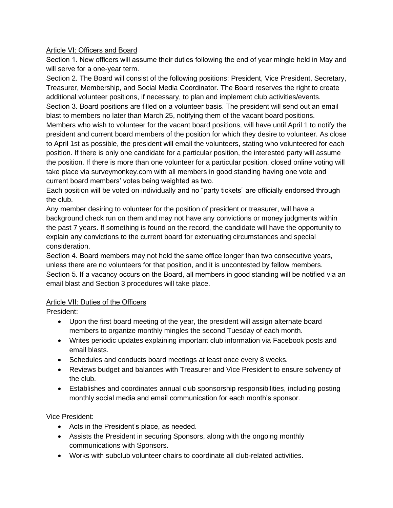## Article VI: Officers and Board

Section 1. New officers will assume their duties following the end of year mingle held in May and will serve for a one-year term.

Section 2. The Board will consist of the following positions: President, Vice President, Secretary, Treasurer, Membership, and Social Media Coordinator. The Board reserves the right to create additional volunteer positions, if necessary, to plan and implement club activities/events. Section 3. Board positions are filled on a volunteer basis. The president will send out an email blast to members no later than March 25, notifying them of the vacant board positions. Members who wish to volunteer for the vacant board positions, will have until April 1 to notify the president and current board members of the position for which they desire to volunteer. As close to April 1st as possible, the president will email the volunteers, stating who volunteered for each position. If there is only one candidate for a particular position, the interested party will assume the position. If there is more than one volunteer for a particular position, closed online voting will

take place via surveymonkey.com with all members in good standing having one vote and current board members' votes being weighted as two.

Each position will be voted on individually and no "party tickets" are officially endorsed through the club.

Any member desiring to volunteer for the position of president or treasurer, will have a background check run on them and may not have any convictions or money judgments within the past 7 years. If something is found on the record, the candidate will have the opportunity to explain any convictions to the current board for extenuating circumstances and special consideration.

Section 4. Board members may not hold the same office longer than two consecutive years, unless there are no volunteers for that position, and it is uncontested by fellow members. Section 5. If a vacancy occurs on the Board, all members in good standing will be notified via an email blast and Section 3 procedures will take place.

# Article VII: Duties of the Officers

President:

- Upon the first board meeting of the year, the president will assign alternate board members to organize monthly mingles the second Tuesday of each month.
- Writes periodic updates explaining important club information via Facebook posts and email blasts.
- Schedules and conducts board meetings at least once every 8 weeks.
- Reviews budget and balances with Treasurer and Vice President to ensure solvency of the club.
- Establishes and coordinates annual club sponsorship responsibilities, including posting monthly social media and email communication for each month's sponsor.

Vice President:

- Acts in the President's place, as needed.
- Assists the President in securing Sponsors, along with the ongoing monthly communications with Sponsors.
- Works with subclub volunteer chairs to coordinate all club-related activities.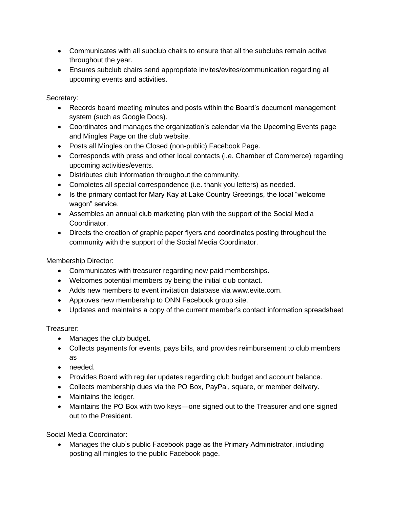- Communicates with all subclub chairs to ensure that all the subclubs remain active throughout the year.
- Ensures subclub chairs send appropriate invites/evites/communication regarding all upcoming events and activities.

Secretary:

- Records board meeting minutes and posts within the Board's document management system (such as Google Docs).
- Coordinates and manages the organization's calendar via the Upcoming Events page and Mingles Page on the club website.
- Posts all Mingles on the Closed (non-public) Facebook Page.
- Corresponds with press and other local contacts (i.e. Chamber of Commerce) regarding upcoming activities/events.
- Distributes club information throughout the community.
- Completes all special correspondence (i.e. thank you letters) as needed.
- Is the primary contact for Mary Kay at Lake Country Greetings, the local "welcome wagon" service.
- Assembles an annual club marketing plan with the support of the Social Media Coordinator.
- Directs the creation of graphic paper flyers and coordinates posting throughout the community with the support of the Social Media Coordinator.

Membership Director:

- Communicates with treasurer regarding new paid memberships.
- Welcomes potential members by being the initial club contact.
- Adds new members to event invitation database via www.evite.com.
- Approves new membership to ONN Facebook group site.
- Updates and maintains a copy of the current member's contact information spreadsheet

Treasurer:

- Manages the club budget.
- Collects payments for events, pays bills, and provides reimbursement to club members as
- needed.
- Provides Board with regular updates regarding club budget and account balance.
- Collects membership dues via the PO Box, PayPal, square, or member delivery.
- Maintains the ledger.
- Maintains the PO Box with two keys—one signed out to the Treasurer and one signed out to the President.

Social Media Coordinator:

• Manages the club's public Facebook page as the Primary Administrator, including posting all mingles to the public Facebook page.